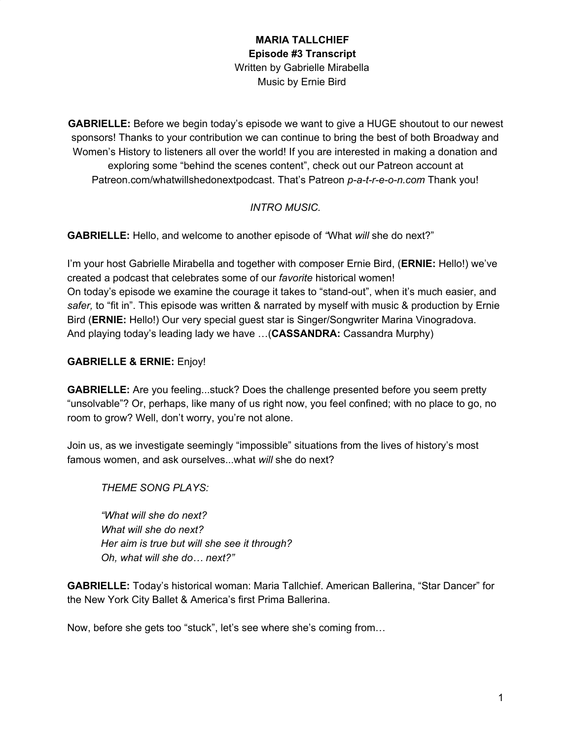**GABRIELLE:** Before we begin today's episode we want to give a HUGE shoutout to our newest sponsors! Thanks to your contribution we can continue to bring the best of both Broadway and Women's History to listeners all over the world! If you are interested in making a donation and exploring some "behind the scenes content", check out our Patreon account at Patreon.com/whatwillshedonextpodcast. That's Patreon *p-a-t-r-e-o-n.com* Thank you!

### *INTRO MUSIC.*

**GABRIELLE:** Hello, and welcome to another episode of *"*What *will* she do next?"

I'm your host Gabrielle Mirabella and together with composer Ernie Bird, (**ERNIE:** Hello!) we've created a podcast that celebrates some of our *favorite* historical women! On today's episode we examine the courage it takes to "stand-out", when it's much easier, and *safer,* to "fit in". This episode was written & narrated by myself with music & production by Ernie Bird (**ERNIE:** Hello!) Our very special guest star is Singer/Songwriter Marina Vinogradova. And playing today's leading lady we have …(**CASSANDRA:** Cassandra Murphy)

### **GABRIELLE & ERNIE:** Enjoy!

**GABRIELLE:** Are you feeling...stuck? Does the challenge presented before you seem pretty "unsolvable"? Or, perhaps, like many of us right now, you feel confined; with no place to go, no room to grow? Well, don't worry, you're not alone.

Join us, as we investigate seemingly "impossible" situations from the lives of history's most famous women, and ask ourselves...what *will* she do next?

*THEME SONG PLAYS:*

*"What will she do next? What will she do next? Her aim is true but will she see it through? Oh, what will she do… next?"*

**GABRIELLE:** Today's historical woman: Maria Tallchief. American Ballerina, "Star Dancer" for the New York City Ballet & America's first Prima Ballerina.

Now, before she gets too "stuck", let's see where she's coming from…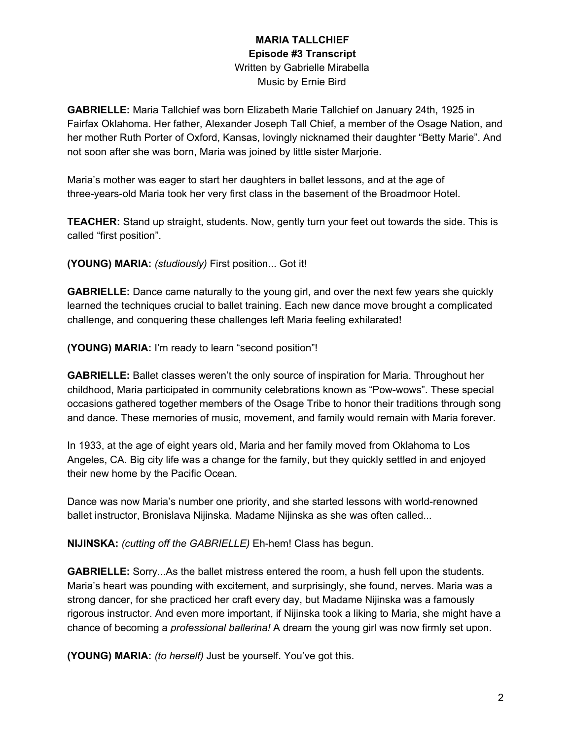**GABRIELLE:** Maria Tallchief was born Elizabeth Marie Tallchief on January 24th, 1925 in Fairfax Oklahoma. Her father, Alexander Joseph Tall Chief, a member of the Osage Nation, and her mother Ruth Porter of Oxford, Kansas, lovingly nicknamed their daughter "Betty Marie". And not soon after she was born, Maria was joined by little sister Marjorie.

Maria's mother was eager to start her daughters in ballet lessons, and at the age of three-years-old Maria took her very first class in the basement of the Broadmoor Hotel.

**TEACHER:** Stand up straight, students. Now, gently turn your feet out towards the side. This is called "first position".

**(YOUNG) MARIA:** *(studiously)* First position... Got it!

**GABRIELLE:** Dance came naturally to the young girl, and over the next few years she quickly learned the techniques crucial to ballet training. Each new dance move brought a complicated challenge, and conquering these challenges left Maria feeling exhilarated!

**(YOUNG) MARIA:** I'm ready to learn "second position"!

**GABRIELLE:** Ballet classes weren't the only source of inspiration for Maria. Throughout her childhood, Maria participated in community celebrations known as "Pow-wows". These special occasions gathered together members of the Osage Tribe to honor their traditions through song and dance. These memories of music, movement, and family would remain with Maria forever.

In 1933, at the age of eight years old, Maria and her family moved from Oklahoma to Los Angeles, CA. Big city life was a change for the family, but they quickly settled in and enjoyed their new home by the Pacific Ocean.

Dance was now Maria's number one priority, and she started lessons with world-renowned ballet instructor, Bronislava Nijinska. Madame Nijinska as she was often called...

**NIJINSKA:** *(cutting off the GABRIELLE)* Eh-hem! Class has begun.

**GABRIELLE:** Sorry...As the ballet mistress entered the room, a hush fell upon the students. Maria's heart was pounding with excitement, and surprisingly, she found, nerves. Maria was a strong dancer, for she practiced her craft every day, but Madame Nijinska was a famously rigorous instructor. And even more important, if Nijinska took a liking to Maria, she might have a chance of becoming a *professional ballerina!* A dream the young girl was now firmly set upon.

**(YOUNG) MARIA:** *(to herself)* Just be yourself. You've got this.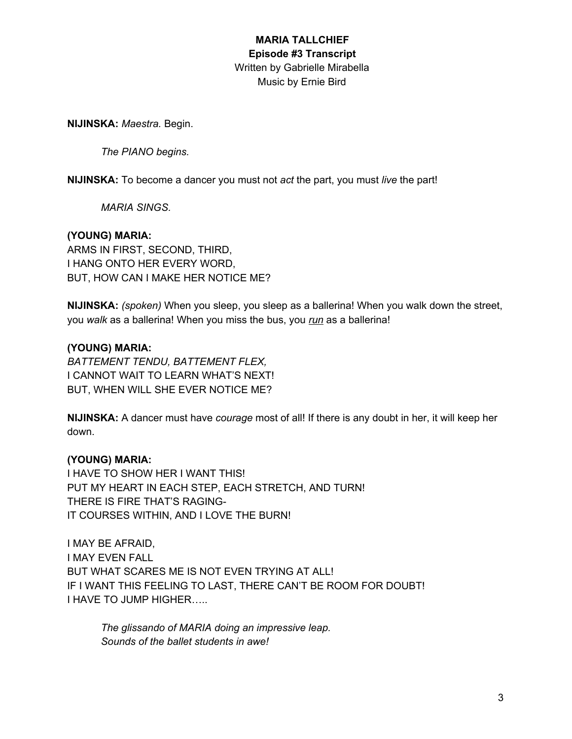**NIJINSKA:** *Maestra.* Begin.

*The PIANO begins.*

**NIJINSKA:** To become a dancer you must not *act* the part, you must *live* the part!

*MARIA SINGS.*

#### **(YOUNG) MARIA:**

ARMS IN FIRST, SECOND, THIRD, I HANG ONTO HER EVERY WORD, BUT, HOW CAN I MAKE HER NOTICE ME?

**NIJINSKA:** *(spoken)* When you sleep, you sleep as a ballerina! When you walk down the street, you *walk* as a ballerina! When you miss the bus, you *run* as a ballerina!

#### **(YOUNG) MARIA:**

*BATTEMENT TENDU, BATTEMENT FLEX,* I CANNOT WAIT TO LEARN WHAT'S NEXT! BUT, WHEN WILL SHE EVER NOTICE ME?

**NIJINSKA:** A dancer must have *courage* most of all! If there is any doubt in her, it will keep her down.

#### **(YOUNG) MARIA:**

I HAVE TO SHOW HER I WANT THIS! PUT MY HEART IN EACH STEP, EACH STRETCH, AND TURN! THERE IS FIRE THAT'S RAGING-IT COURSES WITHIN, AND I LOVE THE BURN!

I MAY BE AFRAID, I MAY EVEN FALL BUT WHAT SCARES ME IS NOT EVEN TRYING AT ALL! IF I WANT THIS FEELING TO LAST, THERE CAN'T BE ROOM FOR DOUBT! I HAVE TO JUMP HIGHER…..

*The glissando of MARIA doing an impressive leap. Sounds of the ballet students in awe!*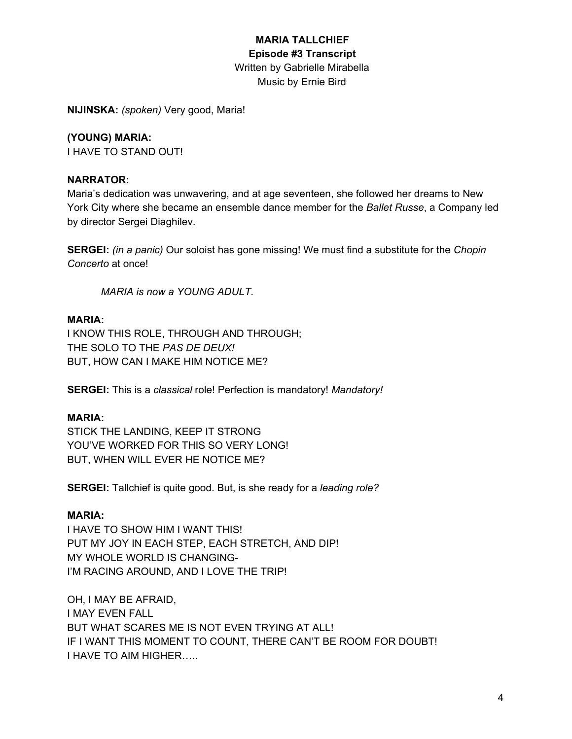# **MARIA TALLCHIEF Episode #3 Transcript** Written by Gabrielle Mirabella

Music by Ernie Bird

**NIJINSKA:** *(spoken)* Very good, Maria!

### **(YOUNG) MARIA:**

I HAVE TO STAND OUT!

### **NARRATOR:**

Maria's dedication was unwavering, and at age seventeen, she followed her dreams to New York City where she became an ensemble dance member for the *Ballet Russe*, a Company led by director Sergei Diaghilev.

**SERGEI:** *(in a panic)* Our soloist has gone missing! We must find a substitute for the *Chopin Concerto* at once!

*MARIA is now a YOUNG ADULT.*

### **MARIA:**

I KNOW THIS ROLE, THROUGH AND THROUGH; THE SOLO TO THE *PAS DE DEUX!* BUT, HOW CAN I MAKE HIM NOTICE ME?

**SERGEI:** This is a *classical* role! Perfection is mandatory! *Mandatory!*

### **MARIA:**

STICK THE LANDING, KEEP IT STRONG YOU'VE WORKED FOR THIS SO VERY LONG! BUT, WHEN WILL EVER HE NOTICE ME?

**SERGEI:** Tallchief is quite good. But, is she ready for a *leading role?*

### **MARIA:**

I HAVE TO SHOW HIM I WANT THIS! PUT MY JOY IN EACH STEP, EACH STRETCH, AND DIP! MY WHOLE WORLD IS CHANGING-I'M RACING AROUND, AND I LOVE THE TRIP!

OH, I MAY BE AFRAID, I MAY EVEN FALL BUT WHAT SCARES ME IS NOT EVEN TRYING AT ALL! IF I WANT THIS MOMENT TO COUNT, THERE CAN'T BE ROOM FOR DOUBT! I HAVE TO AIM HIGHER…..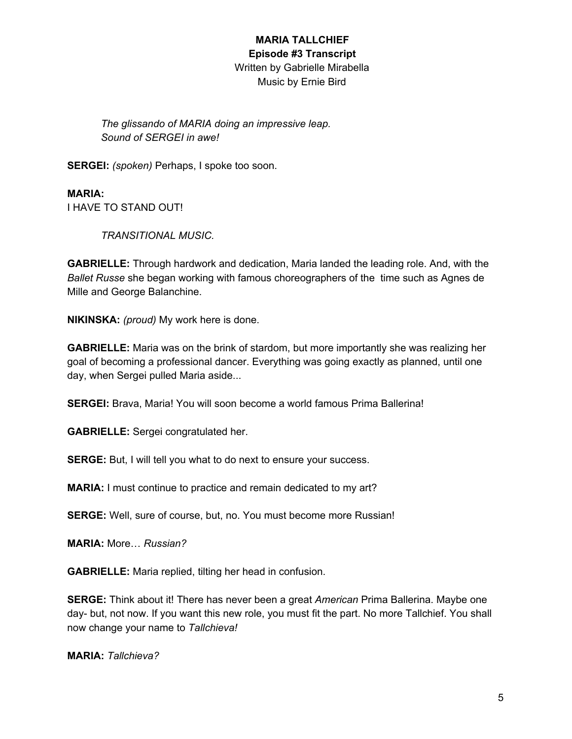*The glissando of MARIA doing an impressive leap. Sound of SERGEI in awe!*

**SERGEI:** *(spoken)* Perhaps, I spoke too soon.

**MARIA:** I HAVE TO STAND OUT!

*TRANSITIONAL MUSIC.*

**GABRIELLE:** Through hardwork and dedication, Maria landed the leading role. And, with the *Ballet Russe* she began working with famous choreographers of the time such as Agnes de Mille and George Balanchine.

**NIKINSKA:** *(proud)* My work here is done.

**GABRIELLE:** Maria was on the brink of stardom, but more importantly she was realizing her goal of becoming a professional dancer. Everything was going exactly as planned, until one day, when Sergei pulled Maria aside...

**SERGEI:** Brava, Maria! You will soon become a world famous Prima Ballerina!

**GABRIELLE:** Sergei congratulated her.

**SERGE:** But, I will tell you what to do next to ensure your success.

**MARIA:** I must continue to practice and remain dedicated to my art?

**SERGE:** Well, sure of course, but, no. You must become more Russian!

**MARIA:** More… *Russian?*

**GABRIELLE:** Maria replied, tilting her head in confusion.

**SERGE:** Think about it! There has never been a great *American* Prima Ballerina. Maybe one day- but, not now. If you want this new role, you must fit the part. No more Tallchief. You shall now change your name to *Tallchieva!*

**MARIA:** *Tallchieva?*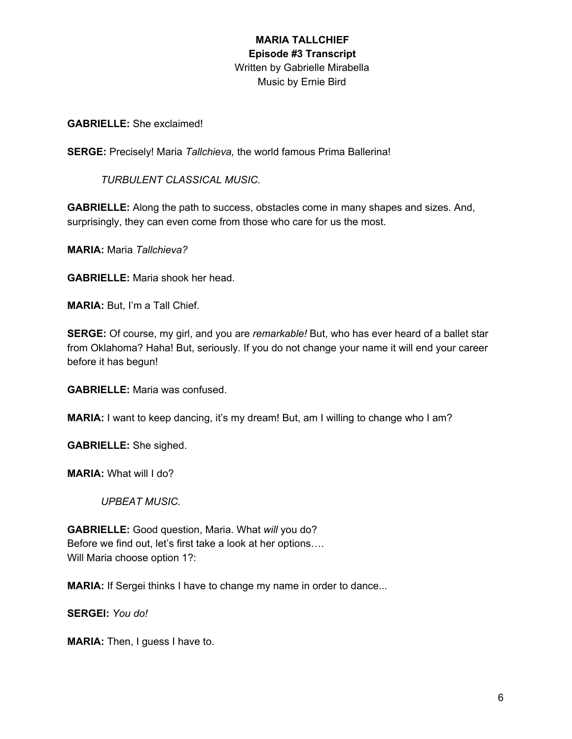**GABRIELLE:** She exclaimed!

**SERGE:** Precisely! Maria *Tallchieva,* the world famous Prima Ballerina!

*TURBULENT CLASSICAL MUSIC.*

**GABRIELLE:** Along the path to success, obstacles come in many shapes and sizes. And, surprisingly, they can even come from those who care for us the most.

**MARIA:** Maria *Tallchieva?*

**GABRIELLE:** Maria shook her head.

**MARIA:** But, I'm a Tall Chief.

**SERGE:** Of course, my girl, and you are *remarkable!* But, who has ever heard of a ballet star from Oklahoma? Haha! But, seriously. If you do not change your name it will end your career before it has begun!

**GABRIELLE:** Maria was confused.

**MARIA:** I want to keep dancing, it's my dream! But, am I willing to change who I am?

**GABRIELLE:** She sighed.

**MARIA:** What will I do?

*UPBEAT MUSIC.*

**GABRIELLE:** Good question, Maria. What *will* you do? Before we find out, let's first take a look at her options…. Will Maria choose option 1?:

**MARIA:** If Sergei thinks I have to change my name in order to dance...

**SERGEI:** *You do!*

**MARIA:** Then, I guess I have to.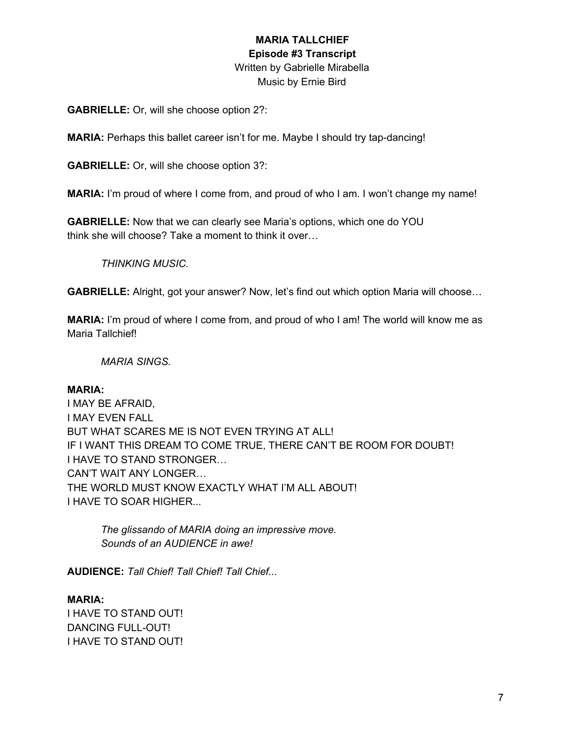**GABRIELLE:** Or, will she choose option 2?:

**MARIA:** Perhaps this ballet career isn't for me. Maybe I should try tap-dancing!

**GABRIELLE:** Or, will she choose option 3?:

**MARIA:** I'm proud of where I come from, and proud of who I am. I won't change my name!

**GABRIELLE:** Now that we can clearly see Maria's options, which one do YOU think she will choose? Take a moment to think it over…

*THINKING MUSIC.*

**GABRIELLE:** Alright, got your answer? Now, let's find out which option Maria will choose…

**MARIA:** I'm proud of where I come from, and proud of who I am! The world will know me as Maria Tallchief!

*MARIA SINGS.*

#### **MARIA:**

I MAY BE AFRAID, I MAY EVEN FALL BUT WHAT SCARES ME IS NOT EVEN TRYING AT ALL! IF I WANT THIS DREAM TO COME TRUE, THERE CAN'T BE ROOM FOR DOUBT! I HAVE TO STAND STRONGER… CAN'T WAIT ANY LONGER… THE WORLD MUST KNOW EXACTLY WHAT I'M ALL ABOUT! I HAVE TO SOAR HIGHER...

*The glissando of MARIA doing an impressive move. Sounds of an AUDIENCE in awe!*

**AUDIENCE:** *Tall Chief! Tall Chief! Tall Chief...*

#### **MARIA:**

I HAVE TO STAND OUT! DANCING FULL-OUT! I HAVE TO STAND OUT!